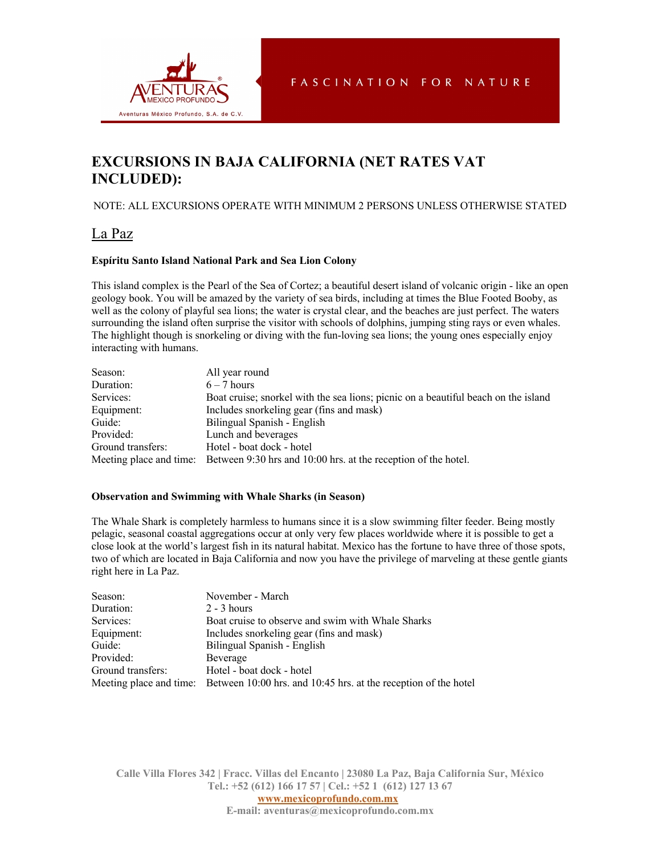

# **EXCURSIONS IN BAJA CALIFORNIA (NET RATES VAT INCLUDED):**

## NOTE: ALL EXCURSIONS OPERATE WITH MINIMUM 2 PERSONS UNLESS OTHERWISE STATED

## La Paz

## **Espíritu Santo Island National Park and Sea Lion Colony**

This island complex is the Pearl of the Sea of Cortez; a beautiful desert island of volcanic origin - like an open geology book. You will be amazed by the variety of sea birds, including at times the Blue Footed Booby, as well as the colony of playful sea lions; the water is crystal clear, and the beaches are just perfect. The waters surrounding the island often surprise the visitor with schools of dolphins, jumping sting rays or even whales. The highlight though is snorkeling or diving with the fun-loving sea lions; the young ones especially enjoy interacting with humans.

| Season:           | All year round                                                                         |
|-------------------|----------------------------------------------------------------------------------------|
| Duration:         | $6 - 7$ hours                                                                          |
| Services:         | Boat cruise; snorkel with the sea lions; picnic on a beautiful beach on the island     |
| Equipment:        | Includes snorkeling gear (fins and mask)                                               |
| Guide:            | Bilingual Spanish - English                                                            |
| Provided:         | Lunch and beverages                                                                    |
| Ground transfers: | Hotel - boat dock - hotel                                                              |
|                   | Meeting place and time: Between 9:30 hrs and 10:00 hrs. at the reception of the hotel. |

#### **Observation and Swimming with Whale Sharks (in Season)**

The Whale Shark is completely harmless to humans since it is a slow swimming filter feeder. Being mostly pelagic, seasonal coastal aggregations occur at only very few places worldwide where it is possible to get a close look at the world's largest fish in its natural habitat. Mexico has the fortune to have three of those spots, two of which are located in Baja California and now you have the privilege of marveling at these gentle giants right here in La Paz.

| Season:           | November - March                                                                        |
|-------------------|-----------------------------------------------------------------------------------------|
| Duration:         | $2 - 3$ hours                                                                           |
| Services:         | Boat cruise to observe and swim with Whale Sharks                                       |
| Equipment:        | Includes snorkeling gear (fins and mask)                                                |
| Guide:            | Bilingual Spanish - English                                                             |
| Provided:         | Beverage                                                                                |
| Ground transfers: | Hotel - boat dock - hotel                                                               |
|                   | Meeting place and time: Between 10:00 hrs. and 10:45 hrs. at the reception of the hotel |

**Calle Villa Flores 342 | Fracc. Villas del Encanto | 23080 La Paz, Baja California Sur, México Tel.: +52 (612) 166 17 57 | Cel.: +52 1 (612) 127 13 67**

**www.mexicoprofundo.com.mx**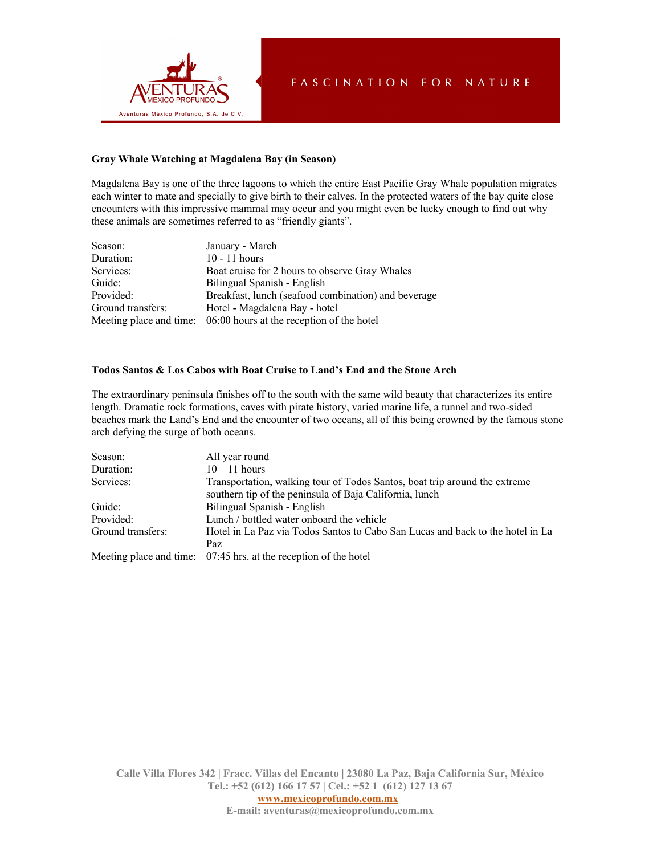

### **Gray Whale Watching at Magdalena Bay (in Season)**

Magdalena Bay is one of the three lagoons to which the entire East Pacific Gray Whale population migrates each winter to mate and specially to give birth to their calves. In the protected waters of the bay quite close encounters with this impressive mammal may occur and you might even be lucky enough to find out why these animals are sometimes referred to as "friendly giants".

| Season:           | January - March                                                   |
|-------------------|-------------------------------------------------------------------|
| Duration:         | $10 - 11$ hours                                                   |
| Services:         | Boat cruise for 2 hours to observe Gray Whales                    |
| Guide:            | Bilingual Spanish - English                                       |
| Provided:         | Breakfast, lunch (seafood combination) and beverage               |
| Ground transfers: | Hotel - Magdalena Bay - hotel                                     |
|                   | Meeting place and time: 06:00 hours at the reception of the hotel |

### **Todos Santos & Los Cabos with Boat Cruise to Land's End and the Stone Arch**

The extraordinary peninsula finishes off to the south with the same wild beauty that characterizes its entire length. Dramatic rock formations, caves with pirate history, varied marine life, a tunnel and two-sided beaches mark the Land's End and the encounter of two oceans, all of this being crowned by the famous stone arch defying the surge of both oceans.

| Season:           | All year round                                                                 |
|-------------------|--------------------------------------------------------------------------------|
| Duration:         | $10 - 11$ hours                                                                |
| Services:         | Transportation, walking tour of Todos Santos, boat trip around the extreme     |
|                   | southern tip of the peninsula of Baja California, lunch                        |
| Guide:            | Bilingual Spanish - English                                                    |
| Provided:         | Lunch / bottled water onboard the vehicle                                      |
| Ground transfers: | Hotel in La Paz via Todos Santos to Cabo San Lucas and back to the hotel in La |
|                   | Paz.                                                                           |
|                   | Meeting place and time: 07:45 hrs. at the reception of the hotel               |

**Calle Villa Flores 342 | Fracc. Villas del Encanto | 23080 La Paz, Baja California Sur, México Tel.: +52 (612) 166 17 57 | Cel.: +52 1 (612) 127 13 67**

**www.mexicoprofundo.com.mx**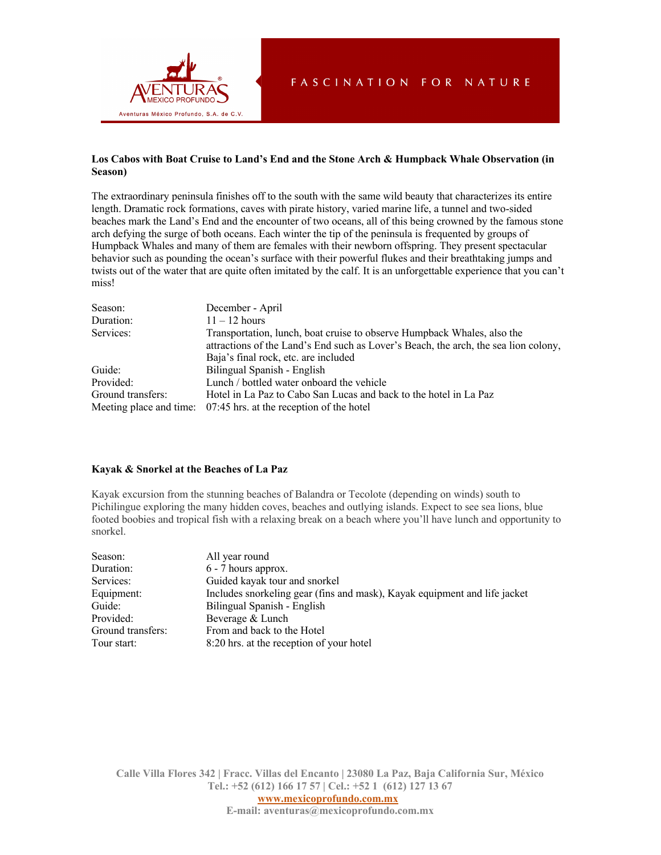

## **Los Cabos with Boat Cruise to Land's End and the Stone Arch & Humpback Whale Observation (in Season)**

The extraordinary peninsula finishes off to the south with the same wild beauty that characterizes its entire length. Dramatic rock formations, caves with pirate history, varied marine life, a tunnel and two-sided beaches mark the Land's End and the encounter of two oceans, all of this being crowned by the famous stone arch defying the surge of both oceans. Each winter the tip of the peninsula is frequented by groups of Humpback Whales and many of them are females with their newborn offspring. They present spectacular behavior such as pounding the ocean's surface with their powerful flukes and their breathtaking jumps and twists out of the water that are quite often imitated by the calf. It is an unforgettable experience that you can't miss!

| Season:           | December - April                                                                    |
|-------------------|-------------------------------------------------------------------------------------|
| Duration:         | $11 - 12$ hours                                                                     |
| Services:         | Transportation, lunch, boat cruise to observe Humpback Whales, also the             |
|                   | attractions of the Land's End such as Lover's Beach, the arch, the sea lion colony, |
|                   | Baja's final rock, etc. are included                                                |
| Guide:            | Bilingual Spanish - English                                                         |
| Provided:         | Lunch / bottled water onboard the vehicle                                           |
| Ground transfers: | Hotel in La Paz to Cabo San Lucas and back to the hotel in La Paz                   |
|                   | Meeting place and time: 07:45 hrs. at the reception of the hotel                    |

## **Kayak & Snorkel at the Beaches of La Paz**

Kayak excursion from the stunning beaches of Balandra or Tecolote (depending on winds) south to Pichilingue exploring the many hidden coves, beaches and outlying islands. Expect to see sea lions, blue footed boobies and tropical fish with a relaxing break on a beach where you'll have lunch and opportunity to snorkel.

| Season:           | All year round                                                            |
|-------------------|---------------------------------------------------------------------------|
| Duration:         | 6 - 7 hours approx.                                                       |
| Services:         | Guided kayak tour and snorkel                                             |
| Equipment:        | Includes snorkeling gear (fins and mask), Kayak equipment and life jacket |
| Guide:            | Bilingual Spanish - English                                               |
| Provided:         | Beverage & Lunch                                                          |
| Ground transfers: | From and back to the Hotel                                                |
| Tour start:       | 8:20 hrs. at the reception of your hotel                                  |

**Calle Villa Flores 342 | Fracc. Villas del Encanto | 23080 La Paz, Baja California Sur, México Tel.: +52 (612) 166 17 57 | Cel.: +52 1 (612) 127 13 67**

**www.mexicoprofundo.com.mx**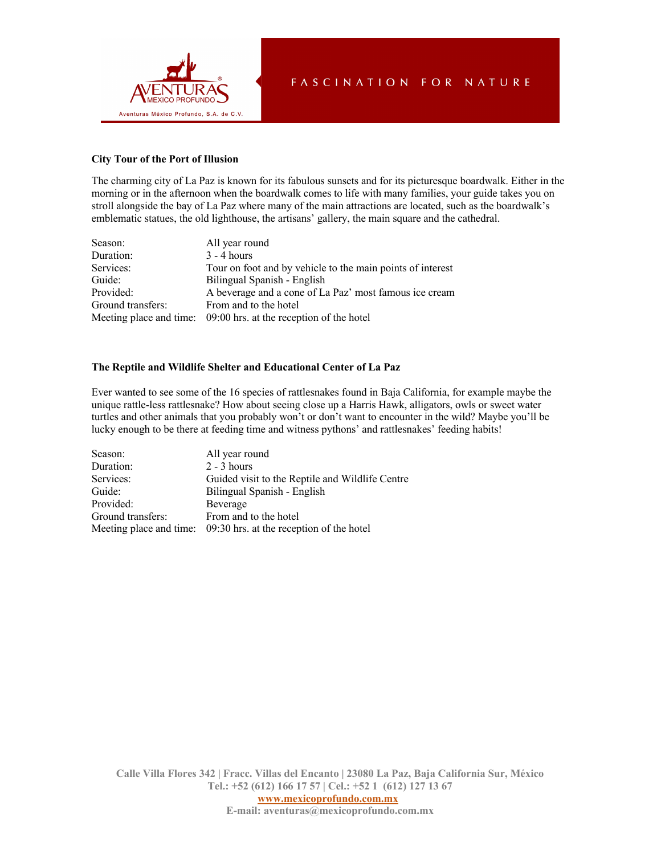

## **City Tour of the Port of Illusion**

The charming city of La Paz is known for its fabulous sunsets and for its picturesque boardwalk. Either in the morning or in the afternoon when the boardwalk comes to life with many families, your guide takes you on stroll alongside the bay of La Paz where many of the main attractions are located, such as the boardwalk's emblematic statues, the old lighthouse, the artisans' gallery, the main square and the cathedral.

| Season:           | All year round                                                   |
|-------------------|------------------------------------------------------------------|
| Duration:         | $3 - 4$ hours                                                    |
| Services:         | Tour on foot and by vehicle to the main points of interest       |
| Guide:            | Bilingual Spanish - English                                      |
| Provided:         | A beverage and a cone of La Paz' most famous ice cream           |
| Ground transfers: | From and to the hotel                                            |
|                   | Meeting place and time: 09:00 hrs. at the reception of the hotel |

### **The Reptile and Wildlife Shelter and Educational Center of La Paz**

Ever wanted to see some of the 16 species of rattlesnakes found in Baja California, for example maybe the unique rattle-less rattlesnake? How about seeing close up a Harris Hawk, alligators, owls or sweet water turtles and other animals that you probably won't or don't want to encounter in the wild? Maybe you'll be lucky enough to be there at feeding time and witness pythons' and rattlesnakes' feeding habits!

| Season:           | All year round                                                   |
|-------------------|------------------------------------------------------------------|
| Duration:         | $2 - 3$ hours                                                    |
| Services:         | Guided visit to the Reptile and Wildlife Centre                  |
| Guide:            | Bilingual Spanish - English                                      |
| Provided:         | Beverage                                                         |
| Ground transfers: | From and to the hotel                                            |
|                   | Meeting place and time: 09:30 hrs. at the reception of the hotel |

**Calle Villa Flores 342 | Fracc. Villas del Encanto | 23080 La Paz, Baja California Sur, México Tel.: +52 (612) 166 17 57 | Cel.: +52 1 (612) 127 13 67 www.mexicoprofundo.com.mx**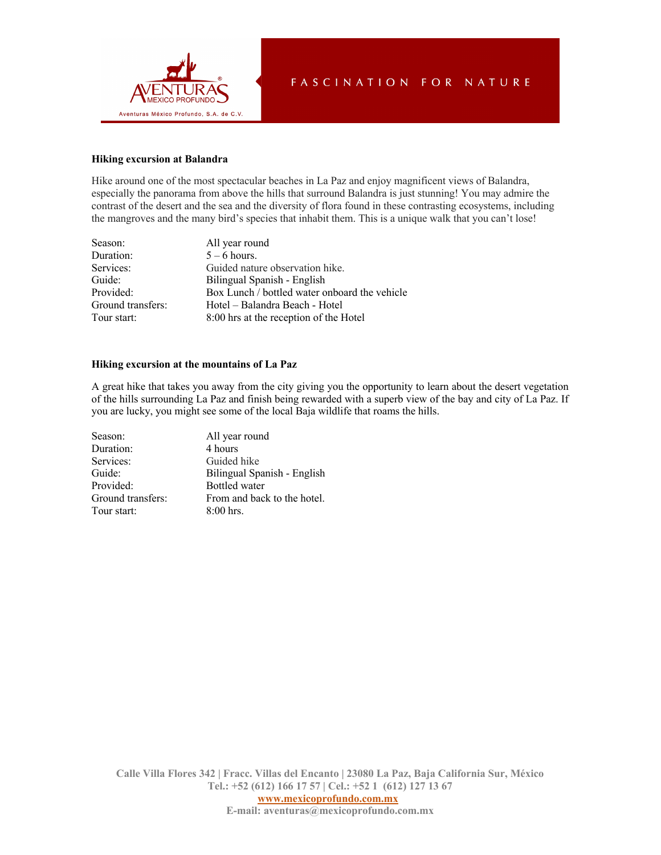

## **Hiking excursion at Balandra**

Hike around one of the most spectacular beaches in La Paz and enjoy magnificent views of Balandra, especially the panorama from above the hills that surround Balandra is just stunning! You may admire the contrast of the desert and the sea and the diversity of flora found in these contrasting ecosystems, including the mangroves and the many bird's species that inhabit them. This is a unique walk that you can't lose!

| Season:           | All year round                                |
|-------------------|-----------------------------------------------|
| Duration:         | $5 - 6$ hours.                                |
| Services:         | Guided nature observation hike.               |
| Guide:            | Bilingual Spanish - English                   |
| Provided:         | Box Lunch / bottled water onboard the vehicle |
| Ground transfers: | Hotel – Balandra Beach - Hotel                |
| Tour start:       | 8:00 hrs at the reception of the Hotel        |

#### **Hiking excursion at the mountains of La Paz**

A great hike that takes you away from the city giving you the opportunity to learn about the desert vegetation of the hills surrounding La Paz and finish being rewarded with a superb view of the bay and city of La Paz. If you are lucky, you might see some of the local Baja wildlife that roams the hills.

| Season:           | All year round              |
|-------------------|-----------------------------|
| Duration:         | 4 hours                     |
| Services:         | Guided hike                 |
| Guide:            | Bilingual Spanish - English |
| Provided:         | <b>Bottled</b> water        |
| Ground transfers: | From and back to the hotel. |
| Tour start:       | $8:00$ hrs.                 |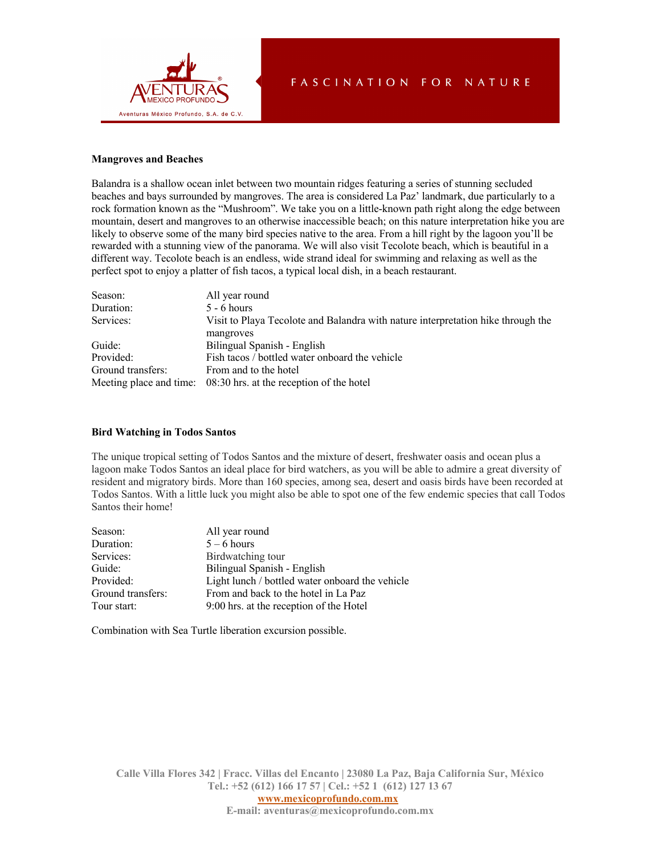

### **Mangroves and Beaches**

Balandra is a shallow ocean inlet between two mountain ridges featuring a series of stunning secluded beaches and bays surrounded by mangroves. The area is considered La Paz' landmark, due particularly to a rock formation known as the "Mushroom". We take you on a little-known path right along the edge between mountain, desert and mangroves to an otherwise inaccessible beach; on this nature interpretation hike you are likely to observe some of the many bird species native to the area. From a hill right by the lagoon you'll be rewarded with a stunning view of the panorama. We will also visit Tecolote beach, which is beautiful in a different way. Tecolote beach is an endless, wide strand ideal for swimming and relaxing as well as the perfect spot to enjoy a platter of fish tacos, a typical local dish, in a beach restaurant.

| Season:           | All year round                                                                   |
|-------------------|----------------------------------------------------------------------------------|
| Duration:         | $5 - 6$ hours                                                                    |
| Services:         | Visit to Playa Tecolote and Balandra with nature interpretation hike through the |
|                   | mangroves                                                                        |
| Guide:            | Bilingual Spanish - English                                                      |
| Provided:         | Fish tacos / bottled water onboard the vehicle                                   |
| Ground transfers: | From and to the hotel                                                            |
|                   | Meeting place and time: 08:30 hrs. at the reception of the hotel                 |

#### **Bird Watching in Todos Santos**

The unique tropical setting of Todos Santos and the mixture of desert, freshwater oasis and ocean plus a lagoon make Todos Santos an ideal place for bird watchers, as you will be able to admire a great diversity of resident and migratory birds. More than 160 species, among sea, desert and oasis birds have been recorded at Todos Santos. With a little luck you might also be able to spot one of the few endemic species that call Todos Santos their home!

| Season:           | All year round                                  |
|-------------------|-------------------------------------------------|
| Duration:         | $5 - 6$ hours                                   |
| Services:         | Birdwatching tour                               |
| Guide:            | Bilingual Spanish - English                     |
| Provided:         | Light lunch / bottled water onboard the vehicle |
| Ground transfers: | From and back to the hotel in La Paz            |
| Tour start:       | 9:00 hrs. at the reception of the Hotel         |
|                   |                                                 |

Combination with Sea Turtle liberation excursion possible.

**Calle Villa Flores 342 | Fracc. Villas del Encanto | 23080 La Paz, Baja California Sur, México Tel.: +52 (612) 166 17 57 | Cel.: +52 1 (612) 127 13 67**

**www.mexicoprofundo.com.mx**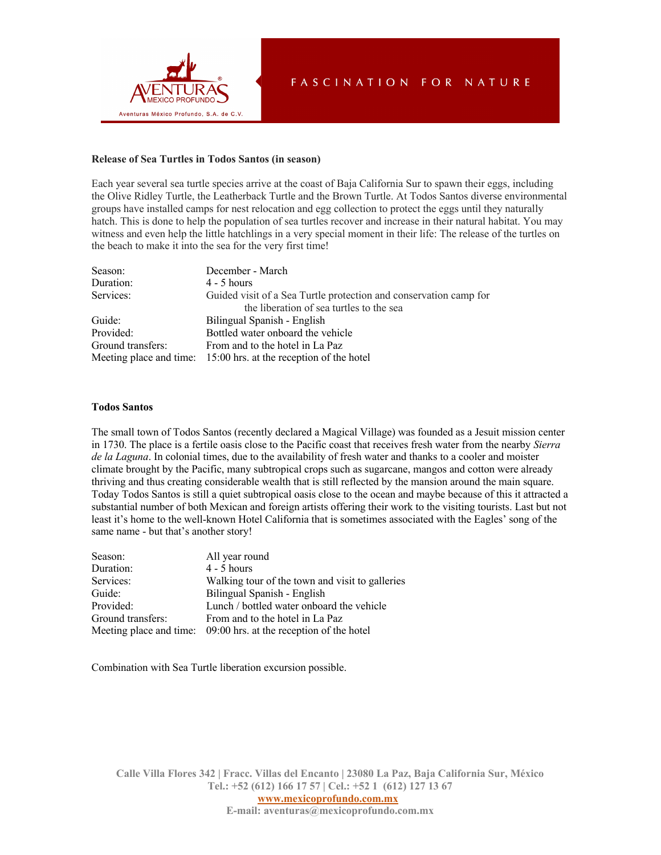

#### **Release of Sea Turtles in Todos Santos (in season)**

Each year several sea turtle species arrive at the coast of Baja California Sur to spawn their eggs, including the Olive Ridley Turtle, the Leatherback Turtle and the Brown Turtle. At Todos Santos diverse environmental groups have installed camps for nest relocation and egg collection to protect the eggs until they naturally hatch. This is done to help the population of sea turtles recover and increase in their natural habitat. You may witness and even help the little hatchlings in a very special moment in their life: The release of the turtles on the beach to make it into the sea for the very first time!

| Season:           | December - March                                                  |
|-------------------|-------------------------------------------------------------------|
| Duration:         | $4 - 5$ hours                                                     |
| Services:         | Guided visit of a Sea Turtle protection and conservation camp for |
|                   | the liberation of sea turtles to the sea                          |
| Guide:            | Bilingual Spanish - English                                       |
| Provided:         | Bottled water onboard the vehicle                                 |
| Ground transfers: | From and to the hotel in La Paz                                   |
|                   | Meeting place and time: 15:00 hrs. at the reception of the hotel  |

#### **Todos Santos**

The small town of Todos Santos (recently declared a Magical Village) was founded as a Jesuit mission center in 1730. The place is a fertile oasis close to the Pacific coast that receives fresh water from the nearby *Sierra de la Laguna*. In colonial times, due to the availability of fresh water and thanks to a cooler and moister climate brought by the Pacific, many subtropical crops such as sugarcane, mangos and cotton were already thriving and thus creating considerable wealth that is still reflected by the mansion around the main square. Today Todos Santos is still a quiet subtropical oasis close to the ocean and maybe because of this it attracted a substantial number of both Mexican and foreign artists offering their work to the visiting tourists. Last but not least it's home to the well-known Hotel California that is sometimes associated with the Eagles' song of the same name - but that's another story!

| Season:           | All year round                                                   |
|-------------------|------------------------------------------------------------------|
| Duration:         | $4 - 5$ hours                                                    |
| Services:         | Walking tour of the town and visit to galleries                  |
| Guide:            | Bilingual Spanish - English                                      |
| Provided:         | Lunch / bottled water onboard the vehicle                        |
| Ground transfers: | From and to the hotel in La Paz                                  |
|                   | Meeting place and time: 09:00 hrs. at the reception of the hotel |

Combination with Sea Turtle liberation excursion possible.

**Calle Villa Flores 342 | Fracc. Villas del Encanto | 23080 La Paz, Baja California Sur, México Tel.: +52 (612) 166 17 57 | Cel.: +52 1 (612) 127 13 67**

**www.mexicoprofundo.com.mx E-mail: aventuras@mexicoprofundo.com.mx**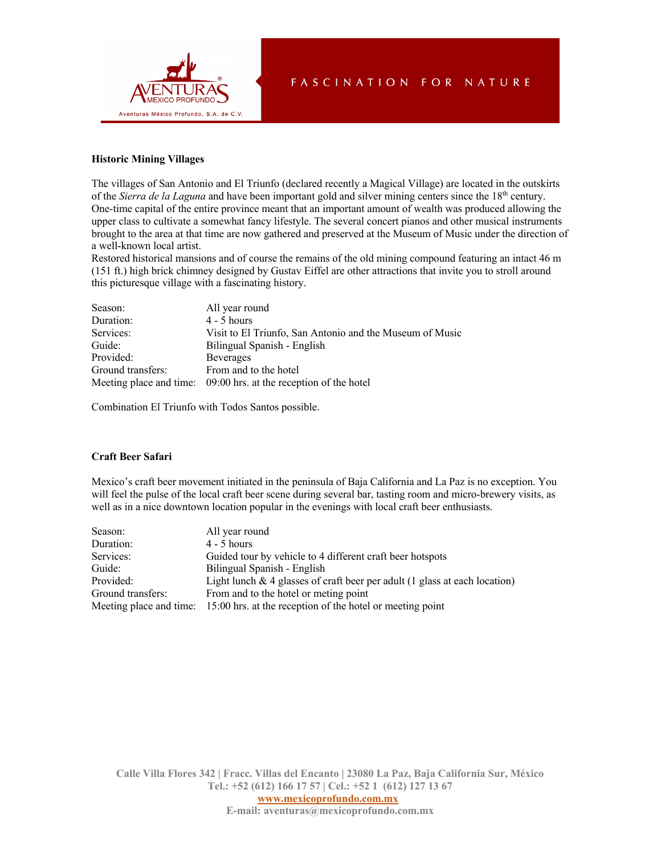

### **Historic Mining Villages**

The villages of San Antonio and El Triunfo (declared recently a Magical Village) are located in the outskirts of the *Sierra de la Laguna* and have been important gold and silver mining centers since the 18th century. One-time capital of the entire province meant that an important amount of wealth was produced allowing the upper class to cultivate a somewhat fancy lifestyle. The several concert pianos and other musical instruments brought to the area at that time are now gathered and preserved at the Museum of Music under the direction of a well-known local artist.

Restored historical mansions and of course the remains of the old mining compound featuring an intact 46 m (151 ft.) high brick chimney designed by Gustav Eiffel are other attractions that invite you to stroll around this picturesque village with a fascinating history.

| Season:           | All year round                                                   |
|-------------------|------------------------------------------------------------------|
| Duration:         | $4 - 5$ hours                                                    |
| Services:         | Visit to El Triunfo, San Antonio and the Museum of Music         |
| Guide:            | Bilingual Spanish - English                                      |
| Provided:         | <b>Beverages</b>                                                 |
| Ground transfers: | From and to the hotel                                            |
|                   | Meeting place and time: 09:00 hrs. at the reception of the hotel |

Combination El Triunfo with Todos Santos possible.

### **Craft Beer Safari**

Mexico's craft beer movement initiated in the peninsula of Baja California and La Paz is no exception. You will feel the pulse of the local craft beer scene during several bar, tasting room and micro-brewery visits, as well as in a nice downtown location popular in the evenings with local craft beer enthusiasts.

| Season:           | All year round                                                                    |
|-------------------|-----------------------------------------------------------------------------------|
| Duration:         | $4 - 5$ hours                                                                     |
| Services:         | Guided tour by vehicle to 4 different craft beer hotspots                         |
| Guide:            | Bilingual Spanish - English                                                       |
| Provided:         | Light lunch $\&$ 4 glasses of craft beer per adult (1 glass at each location)     |
| Ground transfers: | From and to the hotel or meting point                                             |
|                   | Meeting place and time: 15:00 hrs. at the reception of the hotel or meeting point |

**Calle Villa Flores 342 | Fracc. Villas del Encanto | 23080 La Paz, Baja California Sur, México Tel.: +52 (612) 166 17 57 | Cel.: +52 1 (612) 127 13 67**

**www.mexicoprofundo.com.mx**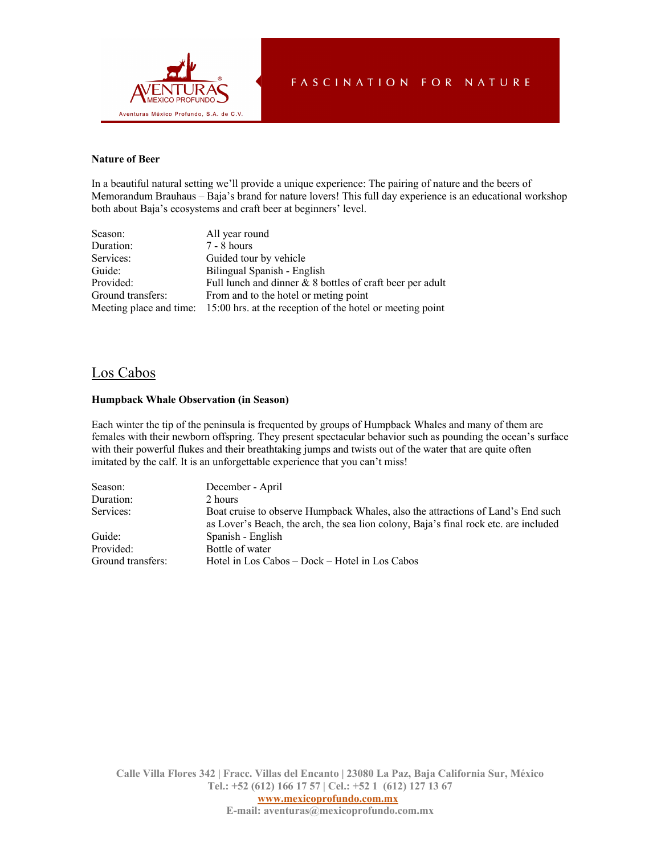

### **Nature of Beer**

In a beautiful natural setting we'll provide a unique experience: The pairing of nature and the beers of Memorandum Brauhaus – Baja's brand for nature lovers! This full day experience is an educational workshop both about Baja's ecosystems and craft beer at beginners' level.

| Season:           | All year round                                                                    |
|-------------------|-----------------------------------------------------------------------------------|
| Duration:         | $7 - 8$ hours                                                                     |
| Services:         | Guided tour by vehicle                                                            |
| Guide:            | Bilingual Spanish - English                                                       |
| Provided:         | Full lunch and dinner $& 8$ bottles of craft beer per adult                       |
| Ground transfers: | From and to the hotel or meting point                                             |
|                   | Meeting place and time: 15:00 hrs. at the reception of the hotel or meeting point |

## Los Cabos

#### **Humpback Whale Observation (in Season)**

Each winter the tip of the peninsula is frequented by groups of Humpback Whales and many of them are females with their newborn offspring. They present spectacular behavior such as pounding the ocean's surface with their powerful flukes and their breathtaking jumps and twists out of the water that are quite often imitated by the calf. It is an unforgettable experience that you can't miss!

| Season:           | December - April                                                                                                                                                        |
|-------------------|-------------------------------------------------------------------------------------------------------------------------------------------------------------------------|
| Duration:         | 2 hours                                                                                                                                                                 |
| Services:         | Boat cruise to observe Humpback Whales, also the attractions of Land's End such<br>as Lover's Beach, the arch, the sea lion colony, Baja's final rock etc. are included |
| Guide:            | Spanish - English                                                                                                                                                       |
| Provided:         | Bottle of water                                                                                                                                                         |
| Ground transfers: | Hotel in Los Cabos – Dock – Hotel in Los Cabos                                                                                                                          |

**Calle Villa Flores 342 | Fracc. Villas del Encanto | 23080 La Paz, Baja California Sur, México Tel.: +52 (612) 166 17 57 | Cel.: +52 1 (612) 127 13 67**

**www.mexicoprofundo.com.mx**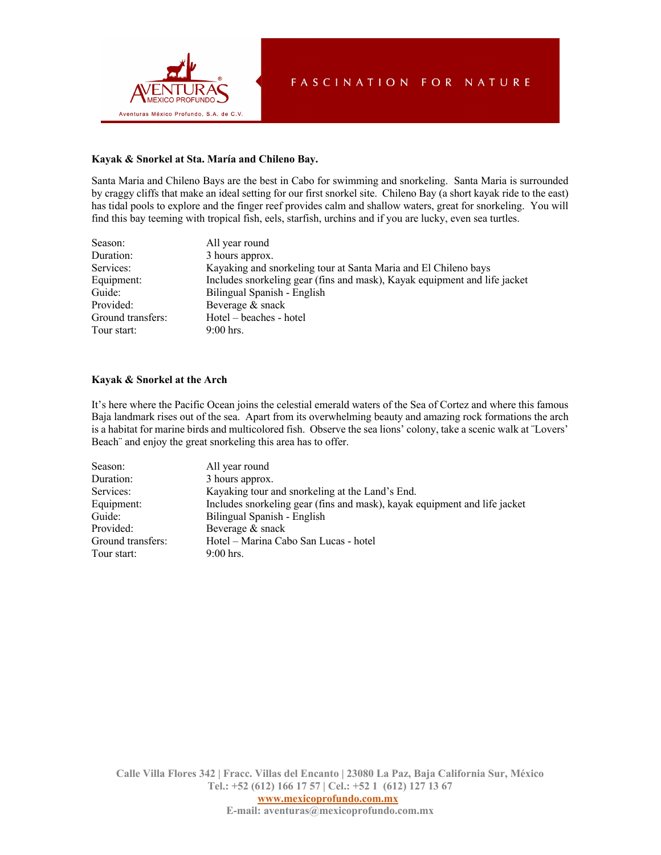

#### **Kayak & Snorkel at Sta. María and Chileno Bay.**

Santa Maria and Chileno Bays are the best in Cabo for swimming and snorkeling. Santa Maria is surrounded by craggy cliffs that make an ideal setting for our first snorkel site. Chileno Bay (a short kayak ride to the east) has tidal pools to explore and the finger reef provides calm and shallow waters, great for snorkeling. You will find this bay teeming with tropical fish, eels, starfish, urchins and if you are lucky, even sea turtles.

| Season:           | All year round                                                            |
|-------------------|---------------------------------------------------------------------------|
| Duration:         | 3 hours approx.                                                           |
| Services:         | Kayaking and snorkeling tour at Santa Maria and El Chileno bays           |
| Equipment:        | Includes snorkeling gear (fins and mask), Kayak equipment and life jacket |
| Guide:            | Bilingual Spanish - English                                               |
| Provided:         | Beverage & snack                                                          |
| Ground transfers: | Hotel – beaches - hotel                                                   |
| Tour start:       | $9:00$ hrs.                                                               |

### **Kayak & Snorkel at the Arch**

It's here where the Pacific Ocean joins the celestial emerald waters of the Sea of Cortez and where this famous Baja landmark rises out of the sea. Apart from its overwhelming beauty and amazing rock formations the arch is a habitat for marine birds and multicolored fish. Observe the sea lions' colony, take a scenic walk at ¨Lovers' Beach¨ and enjoy the great snorkeling this area has to offer.

| Season:           | All year round                                                            |
|-------------------|---------------------------------------------------------------------------|
| Duration:         | 3 hours approx.                                                           |
| Services:         | Kayaking tour and snorkeling at the Land's End.                           |
| Equipment:        | Includes snorkeling gear (fins and mask), kayak equipment and life jacket |
| Guide:            | Bilingual Spanish - English                                               |
| Provided:         | Beverage & snack                                                          |
| Ground transfers: | Hotel - Marina Cabo San Lucas - hotel                                     |
| Tour start:       | $9:00$ hrs.                                                               |

**Calle Villa Flores 342 | Fracc. Villas del Encanto | 23080 La Paz, Baja California Sur, México Tel.: +52 (612) 166 17 57 | Cel.: +52 1 (612) 127 13 67 www.mexicoprofundo.com.mx**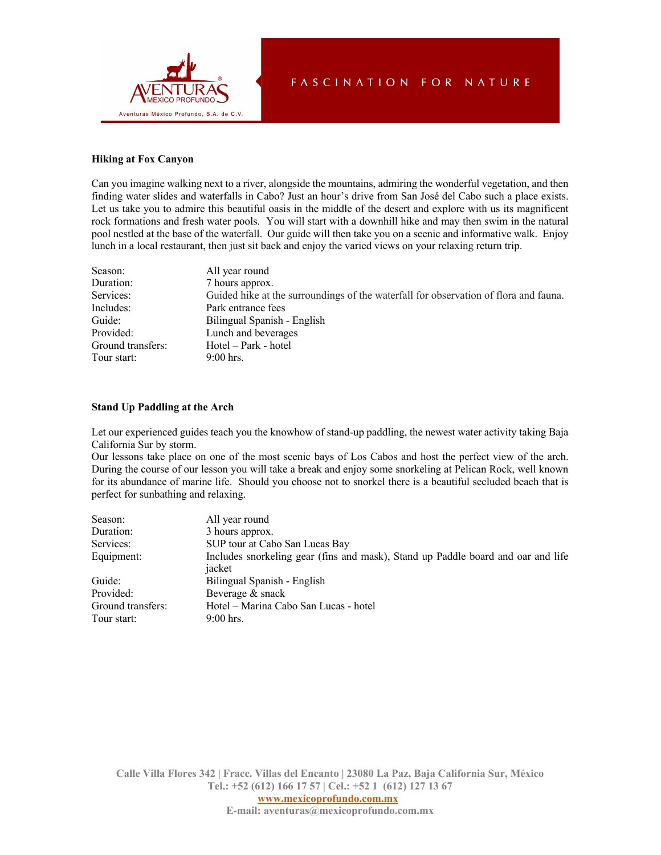

## **Hiking at Fox Canyon**

Can you imagine walking next to a river, alongside the mountains, admiring the wonderful vegetation, and then finding water slides and waterfalls in Cabo? Just an hour's drive from San José del Cabo such a place exists. Let us take you to admire this beautiful oasis in the middle of the desert and explore with us its magnificent rock formations and fresh water pools. You will start with a downhill hike and may then swim in the natural pool nestled at the base of the waterfall. Our guide will then take you on a scenic and informative walk. Enjoy lunch in a local restaurant, then just sit back and enjoy the varied views on your relaxing return trip.

| Season:           | All year round                                                                       |
|-------------------|--------------------------------------------------------------------------------------|
| Duration:         | 7 hours approx.                                                                      |
| Services:         | Guided hike at the surroundings of the waterfall for observation of flora and fauna. |
| Includes:         | Park entrance fees                                                                   |
| Guide:            | Bilingual Spanish - English                                                          |
| Provided:         | Lunch and beverages                                                                  |
| Ground transfers: | Hotel – Park - hotel                                                                 |
| Tour start:       | $9:00$ hrs.                                                                          |

#### **Stand Up Paddling at the Arch**

Let our experienced guides teach you the knowhow of stand-up paddling, the newest water activity taking Baja California Sur by storm.

Our lessons take place on one of the most scenic bays of Los Cabos and host the perfect view of the arch. During the course of our lesson you will take a break and enjoy some snorkeling at Pelican Rock, well known for its abundance of marine life. Should you choose not to snorkel there is a beautiful secluded beach that is perfect for sunbathing and relaxing.

| Season:                          | All year round                                                                             |
|----------------------------------|--------------------------------------------------------------------------------------------|
| Duration:                        | 3 hours approx.                                                                            |
| Services:                        | SUP tour at Cabo San Lucas Bay                                                             |
| Equipment:                       | Includes snorkeling gear (fins and mask), Stand up Paddle board and oar and life<br>jacket |
| Guide:                           | Bilingual Spanish - English                                                                |
| Provided:                        | Beverage & snack                                                                           |
| Ground transfers:<br>Tour start: | Hotel – Marina Cabo San Lucas - hotel<br>$9:00$ hrs.                                       |
|                                  |                                                                                            |

**Calle Villa Flores 342 | Fracc. Villas del Encanto | 23080 La Paz, Baja California Sur, México Tel.: +52 (612) 166 17 57 | Cel.: +52 1 (612) 127 13 67**

**www.mexicoprofundo.com.mx**